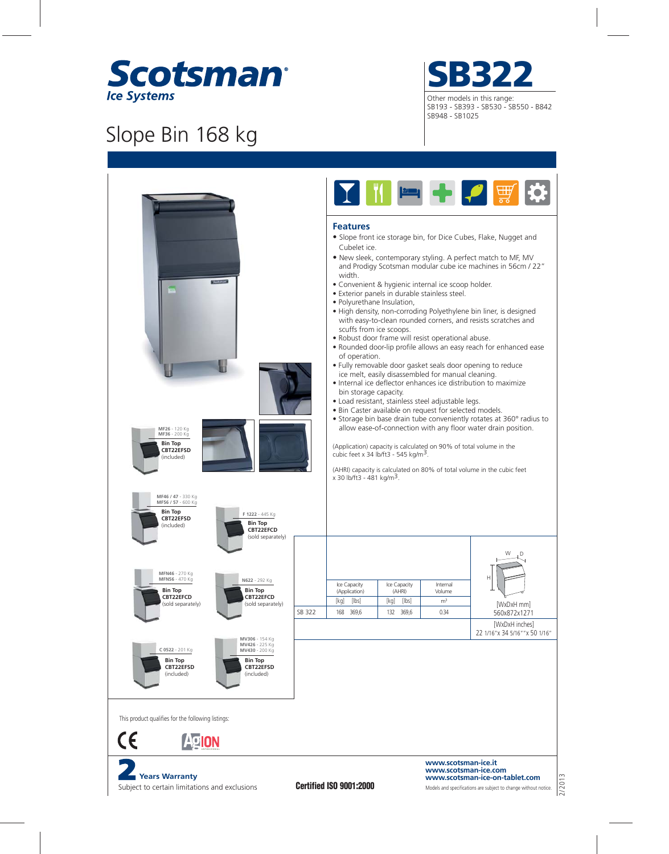

## Slope Bin 168 kg

Subject to certain limitations and exclusions





Models and specifications are subject to change without notice. **www.scotsman-ice-on-tablet.com**